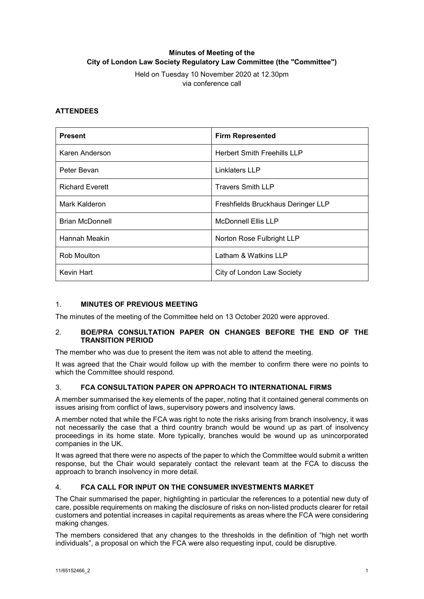# **Minutes of Meeting of the City of London Law Society Regulatory Law Committee (the "Committee")**

Held on Tuesday 10 November 2020 at 12.30pm via conference call

## **ATTENDEES**

| <b>Present</b>         | <b>Firm Represented</b>            |
|------------------------|------------------------------------|
| Karen Anderson         | <b>Herbert Smith Freehills LLP</b> |
| Peter Bevan            | Linklaters LLP                     |
| <b>Richard Everett</b> | <b>Travers Smith LLP</b>           |
| Mark Kalderon          | Freshfields Bruckhaus Deringer LLP |
| Brian McDonnell        | <b>McDonnell Ellis LLP</b>         |
| Hannah Meakin          | Norton Rose Fulbright LLP          |
| Rob Moulton            | Latham & Watkins LLP               |
| Kevin Hart             | City of London Law Society         |

## 1. **MINUTES OF PREVIOUS MEETING**

The minutes of the meeting of the Committee held on 13 October 2020 were approved.

### 2. **BOE/PRA CONSULTATION PAPER ON CHANGES BEFORE THE END OF THE TRANSITION PERIOD**

The member who was due to present the item was not able to attend the meeting.

It was agreed that the Chair would follow up with the member to confirm there were no points to which the Committee should respond.

### 3. **FCA CONSULTATION PAPER ON APPROACH TO INTERNATIONAL FIRMS**

A member summarised the key elements of the paper, noting that it contained general comments on issues arising from conflict of laws, supervisory powers and insolvency laws.

A member noted that while the FCA was right to note the risks arising from branch insolvency, it was not necessarily the case that a third country branch would be wound up as part of insolvency proceedings in its home state. More typically, branches would be wound up as unincorporated companies in the UK.

It was agreed that there were no aspects of the paper to which the Committee would submit a written response, but the Chair would separately contact the relevant team at the FCA to discuss the approach to branch insolvency in more detail.

### 4. **FCA CALL FOR INPUT ON THE CONSUMER INVESTMENTS MARKET**

The Chair summarised the paper, highlighting in particular the references to a potential new duty of care, possible requirements on making the disclosure of risks on non-listed products clearer for retail customers and potential increases in capital requirements as areas where the FCA were considering making changes.

The members considered that any changes to the thresholds in the definition of "high net worth individuals", a proposal on which the FCA were also requesting input, could be disruptive.